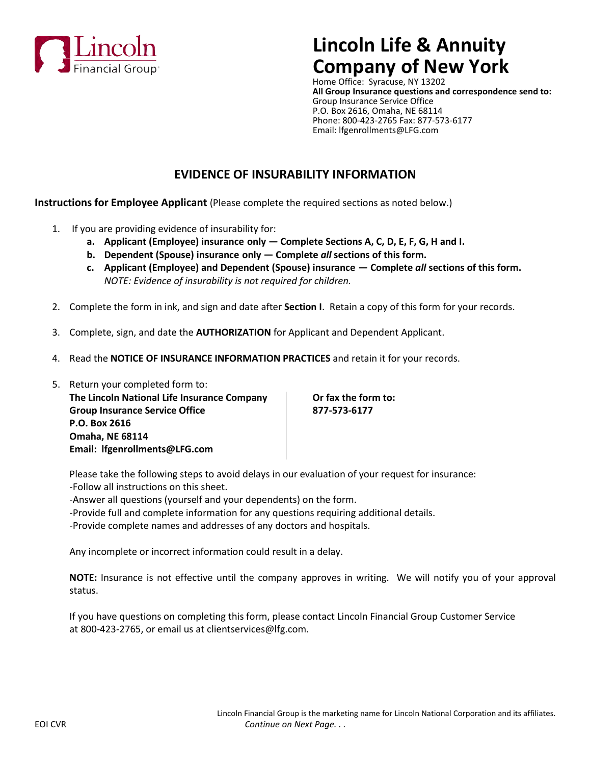

# **Lincoln Life & Annuity Company of New York**

Home Office: Syracuse, NY 13202 **All Group Insurance questions and correspondence send to:** Group Insurance Service Office P.O. Box 2616, Omaha, NE 68114 Phone: 800-423-2765 Fax: 877-573-6177 Email: lfgenrollments@LFG.com

# **EVIDENCE OF INSURABILITY INFORMATION**

**Instructions for Employee Applicant** (Please complete the required sections as noted below.)

- 1. If you are providing evidence of insurability for:
	- **a. Applicant (Employee) insurance only Complete Sections A, C, D, E, F, G, H and I.**
	- **b. Dependent (Spouse) insurance only Complete** *all* **sections of this form.**
	- **c. Applicant (Employee) and Dependent (Spouse) insurance Complete** *all* **sections of this form.** *NOTE: Evidence of insurability is not required for children.*
- 2. Complete the form in ink, and sign and date after **Section I**. Retain a copy of this form for your records.
- 3. Complete, sign, and date the **AUTHORIZATION** for Applicant and Dependent Applicant.
- 4. Read the **NOTICE OF INSURANCE INFORMATION PRACTICES** and retain it for your records.

| 5. Return your completed form to:           |
|---------------------------------------------|
| The Lincoln National Life Insurance Company |
| <b>Group Insurance Service Office</b>       |
| P.O. Box 2616                               |
| <b>Omaha, NE 68114</b>                      |
| Email: Ifgenrollments@LFG.com               |

**Dr fax the form to: Group Insurance Service Office 877-573-6177**

Please take the following steps to avoid delays in our evaluation of your request for insurance: -Follow all instructions on this sheet.

-Answer all questions (yourself and your dependents) on the form.

-Provide full and complete information for any questions requiring additional details.

-Provide complete names and addresses of any doctors and hospitals.

Any incomplete or incorrect information could result in a delay.

**NOTE:** Insurance is not effective until the company approves in writing. We will notify you of your approval status.

If you have questions on completing this form, please contact Lincoln Financial Group Customer Service at 800-423-2765, or email us at clientservices@lfg.com.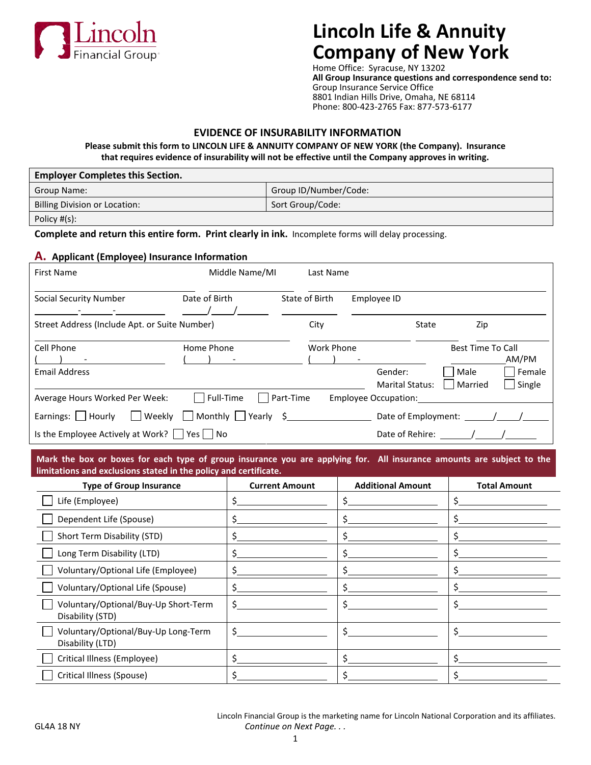

# **Lincoln Life & Annuity Company of New York**

Home Office: Syracuse, NY 13202 **All Group Insurance questions and correspondence send to:** Group Insurance Service Office 8801 Indian Hills Drive, Omaha, NE 68114 Phone: 800-423-2765 Fax: 877-573-6177

## **EVIDENCE OF INSURABILITY INFORMATION**

**Please submit this form to LINCOLN LIFE & ANNUITY COMPANY OF NEW YORK (the Company). Insurance that requires evidence of insurability will not be effective until the Company approves in writing.**

| <b>Employer Completes this Section.</b> |                       |  |  |  |  |  |
|-----------------------------------------|-----------------------|--|--|--|--|--|
| Group Name:                             | Group ID/Number/Code: |  |  |  |  |  |
| Billing Division or Location:           | Sort Group/Code:      |  |  |  |  |  |
| Policy #(s):                            |                       |  |  |  |  |  |

**Complete and return this entire form. Print clearly in ink.** Incomplete forms will delay processing.

## **A. Applicant (Employee) Insurance Information**

| <b>First Name</b>                                                              | Middle Name/MI                   | Last Name         |                      |                                   |                                             |                           |
|--------------------------------------------------------------------------------|----------------------------------|-------------------|----------------------|-----------------------------------|---------------------------------------------|---------------------------|
| <b>Social Security Number</b>                                                  | Date of Birth                    | State of Birth    | Employee ID          |                                   |                                             |                           |
| Street Address (Include Apt. or Suite Number)                                  |                                  | City              |                      | State                             | Zip                                         |                           |
| Cell Phone<br><b>Email Address</b>                                             | Home Phone                       | <b>Work Phone</b> |                      | Gender:<br><b>Marital Status:</b> | <b>Best Time To Call</b><br>Male<br>Married | AM/PM<br>Female<br>Single |
| Average Hours Worked Per Week:                                                 | l lFull-Time                     | Part-Time         | Employee Occupation: |                                   |                                             |                           |
| Earnings: $\vert$   Hourly<br>Weekly                                           | Monthly $\bigcap$ Yearly $\oint$ |                   |                      |                                   |                                             |                           |
| Is the Employee Actively at Work? $  \overline{\ }  $ Yes $\overline{\ }  $ No |                                  |                   |                      | Date of Rehire:                   |                                             |                           |

**Mark the box or boxes for each type of group insurance you are applying for. All insurance amounts are subject to the limitations and exclusions stated in the policy and certificate.**

| <b>Type of Group Insurance</b>                           | <b>Current Amount</b> | <b>Additional Amount</b> | <b>Total Amount</b> |
|----------------------------------------------------------|-----------------------|--------------------------|---------------------|
| Life (Employee)                                          |                       |                          |                     |
| Dependent Life (Spouse)                                  |                       |                          |                     |
| Short Term Disability (STD)                              |                       |                          |                     |
| Long Term Disability (LTD)                               |                       |                          |                     |
| Voluntary/Optional Life (Employee)                       |                       |                          |                     |
| Voluntary/Optional Life (Spouse)                         |                       |                          |                     |
| Voluntary/Optional/Buy-Up Short-Term<br>Disability (STD) |                       |                          |                     |
| Voluntary/Optional/Buy-Up Long-Term<br>Disability (LTD)  | \$                    |                          |                     |
| Critical Illness (Employee)                              |                       |                          |                     |
| Critical Illness (Spouse)                                |                       |                          |                     |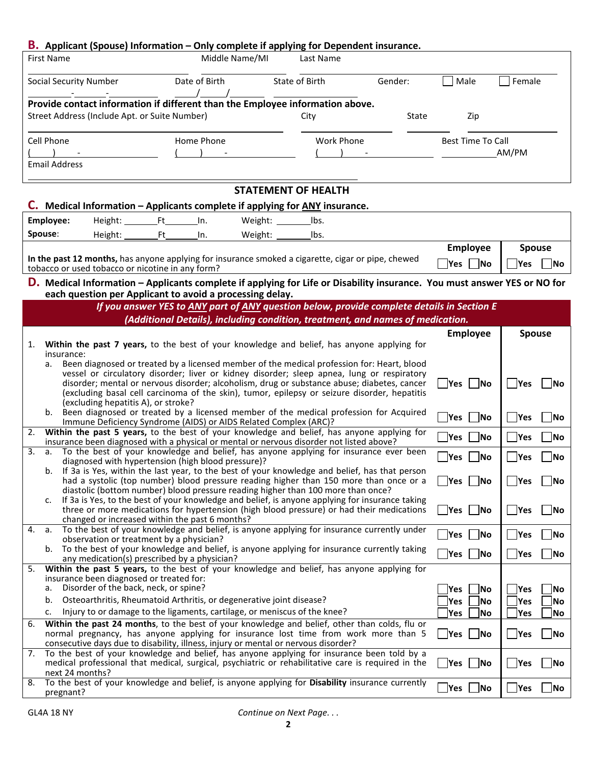|    |                   | <b>B.</b> Applicant (Spouse) Information - Only complete if applying for Dependent insurance.                                                                                             |                                                                                                                                                                              |                            |                   |         |                                         |                                    |
|----|-------------------|-------------------------------------------------------------------------------------------------------------------------------------------------------------------------------------------|------------------------------------------------------------------------------------------------------------------------------------------------------------------------------|----------------------------|-------------------|---------|-----------------------------------------|------------------------------------|
|    | <b>First Name</b> |                                                                                                                                                                                           | Middle Name/MI                                                                                                                                                               |                            | Last Name         |         |                                         |                                    |
|    |                   | Social Security Number                                                                                                                                                                    | Date of Birth                                                                                                                                                                |                            | State of Birth    | Gender: | Male                                    | Female                             |
|    |                   | Provide contact information if different than the Employee information above.                                                                                                             |                                                                                                                                                                              |                            |                   |         |                                         |                                    |
|    |                   | Street Address (Include Apt. or Suite Number)                                                                                                                                             |                                                                                                                                                                              |                            | City              | State   | Zip                                     |                                    |
|    | Cell Phone        |                                                                                                                                                                                           | Home Phone                                                                                                                                                                   |                            | <b>Work Phone</b> |         | <b>Best Time To Call</b>                |                                    |
|    |                   | <b>Email Address</b>                                                                                                                                                                      |                                                                                                                                                                              |                            |                   |         |                                         | AM/PM                              |
|    |                   |                                                                                                                                                                                           |                                                                                                                                                                              |                            |                   |         |                                         |                                    |
|    |                   |                                                                                                                                                                                           |                                                                                                                                                                              | <b>STATEMENT OF HEALTH</b> |                   |         |                                         |                                    |
|    |                   | C. Medical Information - Applicants complete if applying for ANY insurance.                                                                                                               |                                                                                                                                                                              |                            |                   |         |                                         |                                    |
|    | Employee:         | Height: Ft                                                                                                                                                                                | In.                                                                                                                                                                          | Weight: $\_\_$             | lbs.              |         |                                         |                                    |
|    | Spouse:           | Height: Ft                                                                                                                                                                                | In.                                                                                                                                                                          | Weight: ______             | lbs.              |         |                                         |                                    |
|    |                   |                                                                                                                                                                                           |                                                                                                                                                                              |                            |                   |         | Employee                                | <b>Spouse</b>                      |
|    |                   | In the past 12 months, has anyone applying for insurance smoked a cigarette, cigar or pipe, chewed                                                                                        |                                                                                                                                                                              |                            |                   |         | $Yes$ No                                | $\vert$ No<br>Yes                  |
|    |                   | tobacco or used tobacco or nicotine in any form?                                                                                                                                          |                                                                                                                                                                              |                            |                   |         |                                         |                                    |
|    |                   | D. Medical Information - Applicants complete if applying for Life or Disability insurance. You must answer YES or NO for                                                                  |                                                                                                                                                                              |                            |                   |         |                                         |                                    |
|    |                   | each question per Applicant to avoid a processing delay.                                                                                                                                  |                                                                                                                                                                              |                            |                   |         |                                         |                                    |
|    |                   |                                                                                                                                                                                           | If you answer YES to ANY part of ANY question below, provide complete details in Section E<br>(Additional Details), including condition, treatment, and names of medication. |                            |                   |         |                                         |                                    |
|    |                   |                                                                                                                                                                                           |                                                                                                                                                                              |                            |                   |         |                                         |                                    |
| 1. |                   | Within the past 7 years, to the best of your knowledge and belief, has anyone applying for                                                                                                |                                                                                                                                                                              |                            |                   |         | <b>Employee</b>                         | <b>Spouse</b>                      |
|    |                   | insurance:                                                                                                                                                                                |                                                                                                                                                                              |                            |                   |         |                                         |                                    |
|    | a.                | Been diagnosed or treated by a licensed member of the medical profession for: Heart, blood                                                                                                |                                                                                                                                                                              |                            |                   |         |                                         |                                    |
|    |                   | vessel or circulatory disorder; liver or kidney disorder; sleep apnea, lung or respiratory<br>disorder; mental or nervous disorder; alcoholism, drug or substance abuse; diabetes, cancer |                                                                                                                                                                              |                            |                   |         | __ Yes  ___ No                          | <b>Yes</b><br><b>INo</b>           |
|    |                   | (excluding basal cell carcinoma of the skin), tumor, epilepsy or seizure disorder, hepatitis                                                                                              |                                                                                                                                                                              |                            |                   |         |                                         |                                    |
|    | b.                | (excluding hepatitis A), or stroke?<br>Been diagnosed or treated by a licensed member of the medical profession for Acquired                                                              |                                                                                                                                                                              |                            |                   |         |                                         |                                    |
|    |                   | Immune Deficiency Syndrome (AIDS) or AIDS Related Complex (ARC)?                                                                                                                          |                                                                                                                                                                              |                            |                   |         | Yes<br><b>No</b>                        | Yes<br>No                          |
| 2. |                   | Within the past 5 years, to the best of your knowledge and belief, has anyone applying for<br>insurance been diagnosed with a physical or mental or nervous disorder not listed above?    |                                                                                                                                                                              |                            |                   |         | No<br>$\blacksquare$ Yes                | $\sqrt{}$ Yes<br> No               |
| 3. |                   | a. To the best of your knowledge and belief, has anyone applying for insurance ever been<br>diagnosed with hypertension (high blood pressure)?                                            |                                                                                                                                                                              |                            |                   |         | Yes<br><b>No</b>                        | Yes<br> No                         |
|    |                   | b. If 3a is Yes, within the last year, to the best of your knowledge and belief, has that person                                                                                          |                                                                                                                                                                              |                            |                   |         |                                         |                                    |
|    |                   | had a systolic (top number) blood pressure reading higher than 150 more than once or a                                                                                                    |                                                                                                                                                                              |                            |                   |         | $Yes$ No                                | $\overline{\phantom{a}}$ No<br>Yes |
|    | c.                | diastolic (bottom number) blood pressure reading higher than 100 more than once?<br>If 3a is Yes, to the best of your knowledge and belief, is anyone applying for insurance taking       |                                                                                                                                                                              |                            |                   |         |                                         |                                    |
|    |                   | three or more medications for hypertension (high blood pressure) or had their medications                                                                                                 |                                                                                                                                                                              |                            |                   |         | Yes   No                                | Yes<br>$\overline{\phantom{a}}$ No |
| 4. | а.                | changed or increased within the past 6 months?<br>To the best of your knowledge and belief, is anyone applying for insurance currently under                                              |                                                                                                                                                                              |                            |                   |         |                                         |                                    |
|    |                   | observation or treatment by a physician?                                                                                                                                                  |                                                                                                                                                                              |                            |                   |         | __ Yes  ___ No                          | Yes<br>$\blacksquare$ No           |
|    | b.                | To the best of your knowledge and belief, is anyone applying for insurance currently taking<br>any medication(s) prescribed by a physician?                                               |                                                                                                                                                                              |                            |                   |         | $\Box$ Yes<br>$\neg$ No                 | $\mathsf{Yes}$<br> No              |
| 5. |                   | Within the past 5 years, to the best of your knowledge and belief, has anyone applying for                                                                                                |                                                                                                                                                                              |                            |                   |         |                                         |                                    |
|    | a.                | insurance been diagnosed or treated for:<br>Disorder of the back, neck, or spine?                                                                                                         |                                                                                                                                                                              |                            |                   |         |                                         |                                    |
|    | b.                | Osteoarthritis, Rheumatoid Arthritis, or degenerative joint disease?                                                                                                                      |                                                                                                                                                                              |                            |                   |         | Yes<br> No<br><b>Yes</b><br> No         | <b>Yes</b><br>∣No<br> Yes<br>No    |
|    | c.                | Injury to or damage to the ligaments, cartilage, or meniscus of the knee?                                                                                                                 |                                                                                                                                                                              |                            |                   |         | <b>Yes</b><br> No                       | Yes<br> No                         |
| 6. |                   | Within the past 24 months, to the best of your knowledge and belief, other than colds, flu or                                                                                             |                                                                                                                                                                              |                            |                   |         |                                         |                                    |
|    |                   | normal pregnancy, has anyone applying for insurance lost time from work more than 5<br>consecutive days due to disability, illness, injury or mental or nervous disorder?                 |                                                                                                                                                                              |                            |                   |         | $\blacksquare$ Yes<br>$\blacksquare$ No | Yes<br><b>No</b>                   |
| 7. |                   | To the best of your knowledge and belief, has anyone applying for insurance been told by a                                                                                                |                                                                                                                                                                              |                            |                   |         |                                         |                                    |
|    |                   | medical professional that medical, surgical, psychiatric or rehabilitative care is required in the<br>next 24 months?                                                                     |                                                                                                                                                                              |                            |                   |         | $Yes$ No                                | Yes<br> No                         |
| 8. |                   | To the best of your knowledge and belief, is anyone applying for Disability insurance currently<br>pregnant?                                                                              |                                                                                                                                                                              |                            |                   |         | $Yes$ No                                | Yes<br>No.                         |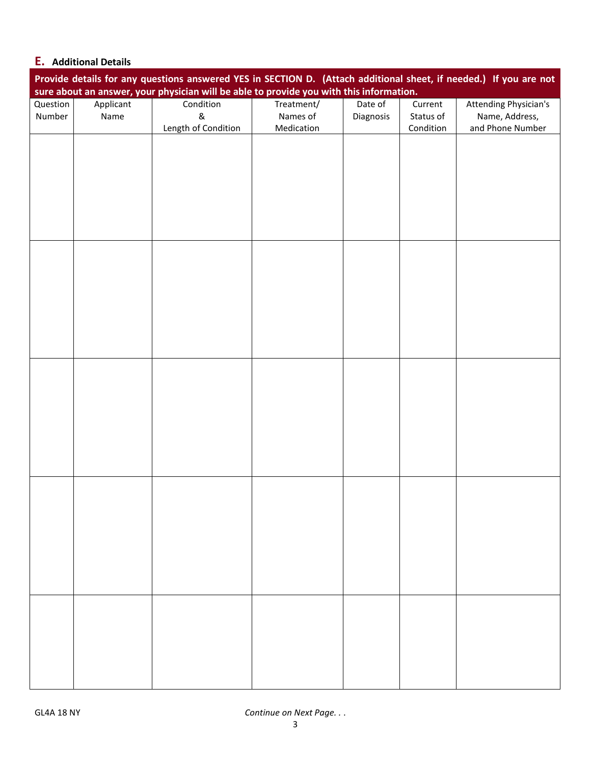# **E. Additional Details**

|          | Provide details for any questions answered YES in SECTION D. (Attach additional sheet, if needed.) If you are not<br>sure about an answer, your physician will be able to provide you with this information. |                     |            |           |           |                              |  |  |
|----------|--------------------------------------------------------------------------------------------------------------------------------------------------------------------------------------------------------------|---------------------|------------|-----------|-----------|------------------------------|--|--|
| Question | Applicant                                                                                                                                                                                                    | Condition           | Treatment/ | Date of   | Current   | <b>Attending Physician's</b> |  |  |
| Number   | Name                                                                                                                                                                                                         | $\&$                | Names of   | Diagnosis | Status of | Name, Address,               |  |  |
|          |                                                                                                                                                                                                              | Length of Condition | Medication |           | Condition | and Phone Number             |  |  |
|          |                                                                                                                                                                                                              |                     |            |           |           |                              |  |  |
|          |                                                                                                                                                                                                              |                     |            |           |           |                              |  |  |
|          |                                                                                                                                                                                                              |                     |            |           |           |                              |  |  |
|          |                                                                                                                                                                                                              |                     |            |           |           |                              |  |  |
|          |                                                                                                                                                                                                              |                     |            |           |           |                              |  |  |
|          |                                                                                                                                                                                                              |                     |            |           |           |                              |  |  |
|          |                                                                                                                                                                                                              |                     |            |           |           |                              |  |  |
|          |                                                                                                                                                                                                              |                     |            |           |           |                              |  |  |
|          |                                                                                                                                                                                                              |                     |            |           |           |                              |  |  |
|          |                                                                                                                                                                                                              |                     |            |           |           |                              |  |  |
|          |                                                                                                                                                                                                              |                     |            |           |           |                              |  |  |
|          |                                                                                                                                                                                                              |                     |            |           |           |                              |  |  |
|          |                                                                                                                                                                                                              |                     |            |           |           |                              |  |  |
|          |                                                                                                                                                                                                              |                     |            |           |           |                              |  |  |
|          |                                                                                                                                                                                                              |                     |            |           |           |                              |  |  |
|          |                                                                                                                                                                                                              |                     |            |           |           |                              |  |  |
|          |                                                                                                                                                                                                              |                     |            |           |           |                              |  |  |
|          |                                                                                                                                                                                                              |                     |            |           |           |                              |  |  |
|          |                                                                                                                                                                                                              |                     |            |           |           |                              |  |  |
|          |                                                                                                                                                                                                              |                     |            |           |           |                              |  |  |
|          |                                                                                                                                                                                                              |                     |            |           |           |                              |  |  |
|          |                                                                                                                                                                                                              |                     |            |           |           |                              |  |  |
|          |                                                                                                                                                                                                              |                     |            |           |           |                              |  |  |
|          |                                                                                                                                                                                                              |                     |            |           |           |                              |  |  |
|          |                                                                                                                                                                                                              |                     |            |           |           |                              |  |  |
|          |                                                                                                                                                                                                              |                     |            |           |           |                              |  |  |
|          |                                                                                                                                                                                                              |                     |            |           |           |                              |  |  |
|          |                                                                                                                                                                                                              |                     |            |           |           |                              |  |  |
|          |                                                                                                                                                                                                              |                     |            |           |           |                              |  |  |
|          |                                                                                                                                                                                                              |                     |            |           |           |                              |  |  |
|          |                                                                                                                                                                                                              |                     |            |           |           |                              |  |  |
|          |                                                                                                                                                                                                              |                     |            |           |           |                              |  |  |
|          |                                                                                                                                                                                                              |                     |            |           |           |                              |  |  |
|          |                                                                                                                                                                                                              |                     |            |           |           |                              |  |  |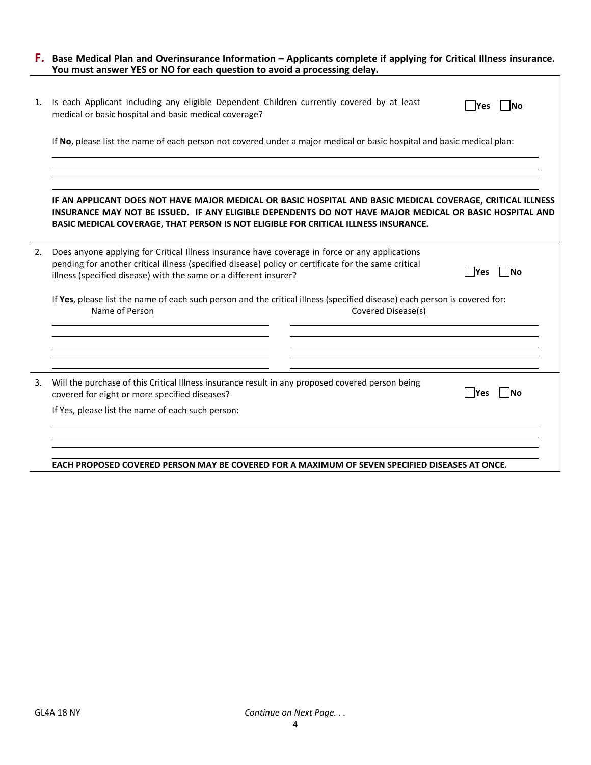| <b>F.</b> Base Medical Plan and Overinsurance Information – Applicants complete if applying for Critical Illness insurance. |
|-----------------------------------------------------------------------------------------------------------------------------|
| You must answer YES or NO for each question to avoid a processing delay.                                                    |
|                                                                                                                             |

| 1. | Is each Applicant including any eligible Dependent Children currently covered by at least<br><b>No</b><br><b>Yes</b><br>medical or basic hospital and basic medical coverage?                                                                                                                                |
|----|--------------------------------------------------------------------------------------------------------------------------------------------------------------------------------------------------------------------------------------------------------------------------------------------------------------|
|    | If No, please list the name of each person not covered under a major medical or basic hospital and basic medical plan:                                                                                                                                                                                       |
|    | IF AN APPLICANT DOES NOT HAVE MAJOR MEDICAL OR BASIC HOSPITAL AND BASIC MEDICAL COVERAGE, CRITICAL ILLNESS<br>INSURANCE MAY NOT BE ISSUED. IF ANY ELIGIBLE DEPENDENTS DO NOT HAVE MAJOR MEDICAL OR BASIC HOSPITAL AND<br>BASIC MEDICAL COVERAGE, THAT PERSON IS NOT ELIGIBLE FOR CRITICAL ILLNESS INSURANCE. |
| 2. | Does anyone applying for Critical Illness insurance have coverage in force or any applications<br>pending for another critical illness (specified disease) policy or certificate for the same critical<br><b>Nes</b><br><b>No</b><br>illness (specified disease) with the same or a different insurer?       |
|    | If Yes, please list the name of each such person and the critical illness (specified disease) each person is covered for:<br>Name of Person<br>Covered Disease(s)                                                                                                                                            |
| 3. | Will the purchase of this Critical Illness insurance result in any proposed covered person being                                                                                                                                                                                                             |
|    | Yes<br><b>No</b><br>covered for eight or more specified diseases?<br>If Yes, please list the name of each such person:                                                                                                                                                                                       |
|    | EACH PROPOSED COVERED PERSON MAY BE COVERED FOR A MAXIMUM OF SEVEN SPECIFIED DISEASES AT ONCE.                                                                                                                                                                                                               |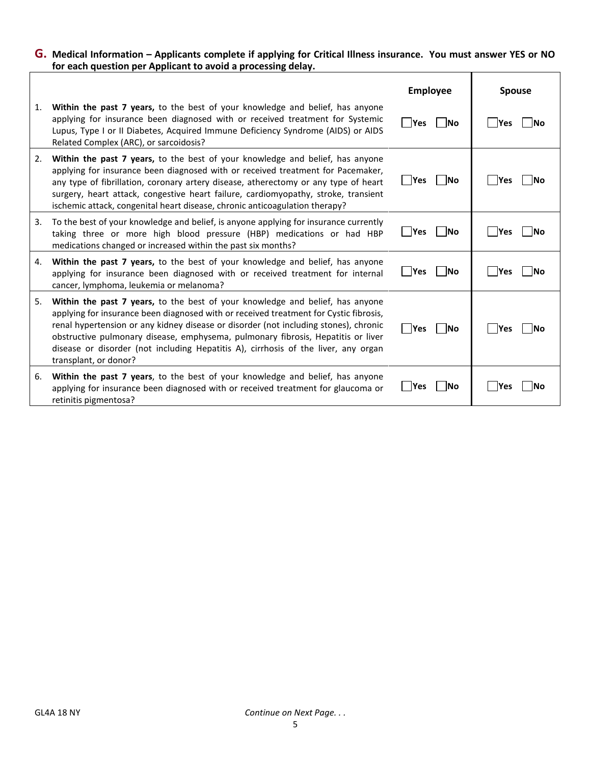#### **G. Medical Information – Applicants complete if applying for Critical Illness insurance. You must answer YES or NO for each question per Applicant to avoid a processing delay.**  $\top$ ٦

|    |                                                                                                                                                                                                                                                                                                                                                                                                                                                                   | <b>Employee</b>           | <b>Spouse</b>             |
|----|-------------------------------------------------------------------------------------------------------------------------------------------------------------------------------------------------------------------------------------------------------------------------------------------------------------------------------------------------------------------------------------------------------------------------------------------------------------------|---------------------------|---------------------------|
| 1. | Within the past 7 years, to the best of your knowledge and belief, has anyone<br>applying for insurance been diagnosed with or received treatment for Systemic<br>Lupus, Type I or II Diabetes, Acquired Immune Deficiency Syndrome (AIDS) or AIDS<br>Related Complex (ARC), or sarcoidosis?                                                                                                                                                                      | <b>Yes</b><br><b>INo</b>  | <b>Yes</b><br>INo         |
| 2. | <b>Within the past 7 years, to the best of your knowledge and belief, has anyone</b><br>applying for insurance been diagnosed with or received treatment for Pacemaker,<br>any type of fibrillation, coronary artery disease, atherectomy or any type of heart<br>surgery, heart attack, congestive heart failure, cardiomyopathy, stroke, transient<br>ischemic attack, congenital heart disease, chronic anticoagulation therapy?                               | Yes<br> No                | Yes<br><b>INo</b>         |
| 3. | To the best of your knowledge and belief, is anyone applying for insurance currently<br>taking three or more high blood pressure (HBP) medications or had HBP<br>medications changed or increased within the past six months?                                                                                                                                                                                                                                     | $\Box$ Yes<br><b>INo</b>  | <b>Yes</b><br><b>INo</b>  |
| 4. | <b>Within the past 7 years, to the best of your knowledge and belief, has anyone</b><br>applying for insurance been diagnosed with or received treatment for internal<br>cancer, lymphoma, leukemia or melanoma?                                                                                                                                                                                                                                                  | l lYes<br><b>No</b>       | <b>P</b> es<br><b>INo</b> |
| 5. | Within the past 7 years, to the best of your knowledge and belief, has anyone<br>applying for insurance been diagnosed with or received treatment for Cystic fibrosis,<br>renal hypertension or any kidney disease or disorder (not including stones), chronic<br>obstructive pulmonary disease, emphysema, pulmonary fibrosis, Hepatitis or liver<br>disease or disorder (not including Hepatitis A), cirrhosis of the liver, any organ<br>transplant, or donor? | Yes<br><b>No</b>          | $\mathsf{Yes}$<br>INO.    |
| 6. | Within the past 7 years, to the best of your knowledge and belief, has anyone<br>applying for insurance been diagnosed with or received treatment for glaucoma or<br>retinitis pigmentosa?                                                                                                                                                                                                                                                                        | <b>INo</b><br><b>PYes</b> | lYes<br>INO               |

 $\overline{1}$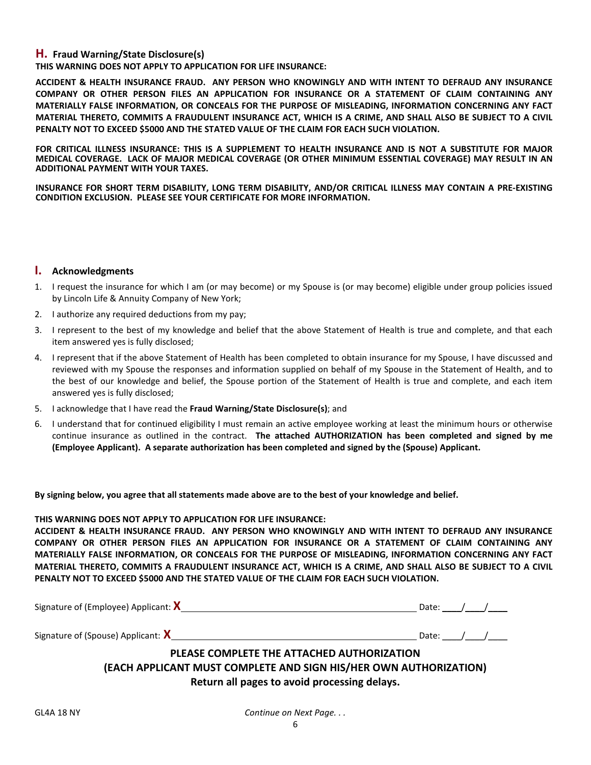### **H. Fraud Warning/State Disclosure(s)**

**THIS WARNING DOES NOT APPLY TO APPLICATION FOR LIFE INSURANCE:**

**ACCIDENT & HEALTH INSURANCE FRAUD. ANY PERSON WHO KNOWINGLY AND WITH INTENT TO DEFRAUD ANY INSURANCE COMPANY OR OTHER PERSON FILES AN APPLICATION FOR INSURANCE OR A STATEMENT OF CLAIM CONTAINING ANY MATERIALLY FALSE INFORMATION, OR CONCEALS FOR THE PURPOSE OF MISLEADING, INFORMATION CONCERNING ANY FACT MATERIAL THERETO, COMMITS A FRAUDULENT INSURANCE ACT, WHICH IS A CRIME, AND SHALL ALSO BE SUBJECT TO A CIVIL PENALTY NOT TO EXCEED \$5000 AND THE STATED VALUE OF THE CLAIM FOR EACH SUCH VIOLATION.**

**FOR CRITICAL ILLNESS INSURANCE: THIS IS A SUPPLEMENT TO HEALTH INSURANCE AND IS NOT A SUBSTITUTE FOR MAJOR MEDICAL COVERAGE. LACK OF MAJOR MEDICAL COVERAGE (OR OTHER MINIMUM ESSENTIAL COVERAGE) MAY RESULT IN AN ADDITIONAL PAYMENT WITH YOUR TAXES.**

**INSURANCE FOR SHORT TERM DISABILITY, LONG TERM DISABILITY, AND/OR CRITICAL ILLNESS MAY CONTAIN A PRE-EXISTING CONDITION EXCLUSION. PLEASE SEE YOUR CERTIFICATE FOR MORE INFORMATION.**

#### **I. Acknowledgments**

- 1. I request the insurance for which I am (or may become) or my Spouse is (or may become) eligible under group policies issued by Lincoln Life & Annuity Company of New York;
- 2. I authorize any required deductions from my pay;
- 3. I represent to the best of my knowledge and belief that the above Statement of Health is true and complete, and that each item answered yes is fully disclosed;
- 4. I represent that if the above Statement of Health has been completed to obtain insurance for my Spouse, I have discussed and reviewed with my Spouse the responses and information supplied on behalf of my Spouse in the Statement of Health, and to the best of our knowledge and belief, the Spouse portion of the Statement of Health is true and complete, and each item answered yes is fully disclosed;
- 5. I acknowledge that I have read the **Fraud Warning/State Disclosure(s)**; and
- 6. I understand that for continued eligibility I must remain an active employee working at least the minimum hours or otherwise continue insurance as outlined in the contract. **The attached AUTHORIZATION has been completed and signed by me (Employee Applicant). A separate authorization has been completed and signed by the (Spouse) Applicant.**

**By signing below, you agree that all statements made above are to the best of your knowledge and belief.**

### **THIS WARNING DOES NOT APPLY TO APPLICATION FOR LIFE INSURANCE:**

**ACCIDENT & HEALTH INSURANCE FRAUD. ANY PERSON WHO KNOWINGLY AND WITH INTENT TO DEFRAUD ANY INSURANCE COMPANY OR OTHER PERSON FILES AN APPLICATION FOR INSURANCE OR A STATEMENT OF CLAIM CONTAINING ANY MATERIALLY FALSE INFORMATION, OR CONCEALS FOR THE PURPOSE OF MISLEADING, INFORMATION CONCERNING ANY FACT MATERIAL THERETO, COMMITS A FRAUDULENT INSURANCE ACT, WHICH IS A CRIME, AND SHALL ALSO BE SUBJECT TO A CIVIL PENALTY NOT TO EXCEED \$5000 AND THE STATED VALUE OF THE CLAIM FOR EACH SUCH VIOLATION.**

| Signature of (Employee) Applicant: $X$                                                                          | Date: Date: |  |
|-----------------------------------------------------------------------------------------------------------------|-------------|--|
| Signature of (Spouse) Applicant: $X$                                                                            | Date: /     |  |
| PLEASE COMPLETE THE ATTACHED AUTHORIZATION<br>(EACH APPLICANT MUST COMPLETE AND SIGN HIS/HER OWN AUTHORIZATION) |             |  |

**Return all pages to avoid processing delays.**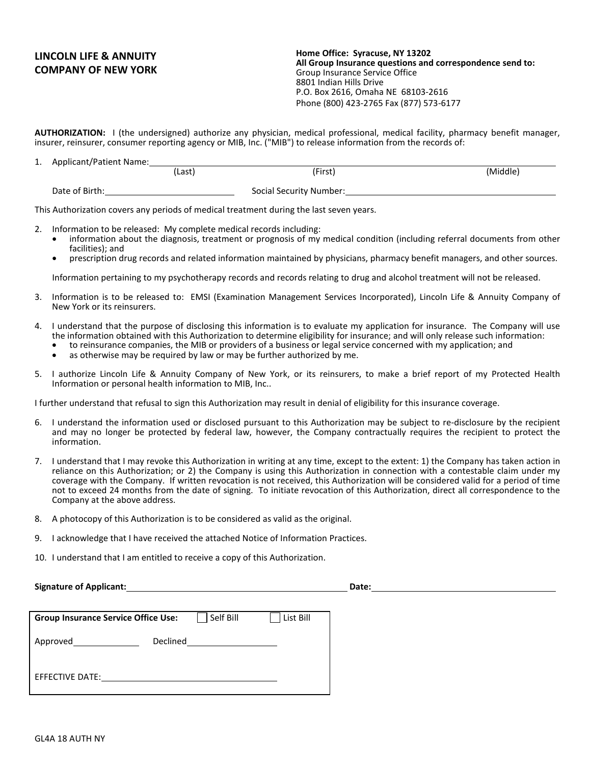# **LINCOLN LIFE & ANNUITY COMPANY OF NEW YORK**

**Home Office: Syracuse, NY 13202 All Group Insurance questions and correspondence send to:** Group Insurance Service Office 8801 Indian Hills Drive P.O. Box 2616, Omaha NE 68103-2616 Phone (800) 423-2765 Fax (877) 573-6177

**AUTHORIZATION:** I (the undersigned) authorize any physician, medical professional, medical facility, pharmacy benefit manager, insurer, reinsurer, consumer reporting agency or MIB, Inc. ("MIB") to release information from the records of:

| . . | Applicant/Patient Name: |        |                         |          |
|-----|-------------------------|--------|-------------------------|----------|
|     |                         | (Last) | (First)                 | (Middle) |
|     | Date of Birth:          |        | Social Security Number: |          |

This Authorization covers any periods of medical treatment during the last seven years.

- Information to be released: My complete medical records including:
	- information about the diagnosis, treatment or prognosis of my medical condition (including referral documents from other
	- facilities); and<br>prescription drug records and related information maintained by physicians, pharmacy benefit managers, and other sources.

Information pertaining to my psychotherapy records and records relating to drug and alcohol treatment will not be released.

- 3. Information is to be released to: EMSI (Examination Management Services Incorporated), Lincoln Life & Annuity Company of New York or its reinsurers.
- 4. I understand that the purpose of disclosing this information is to evaluate my application for insurance. The Company will use the information obtained with this Authorization to determine eligibility for insurance; and will only release such information:
	- to reinsurance companies, the MIB or providers of a business or legal service concerned with my application; and
		- as otherwise may be required by law or may be further authorized by me.
- 5. I authorize Lincoln Life & Annuity Company of New York, or its reinsurers, to make a brief report of my Protected Health Information or personal health information to MIB, Inc..

I further understand that refusal to sign this Authorization may result in denial of eligibility for this insurance coverage.

- 6. I understand the information used or disclosed pursuant to this Authorization may be subject to re-disclosure by the recipient and may no longer be protected by federal law, however, the Company contractually requires the recipient to protect the information.
- 7. I understand that I may revoke this Authorization in writing at any time, except to the extent: 1) the Company has taken action in reliance on this Authorization; or 2) the Company is using this Authorization in connection with a contestable claim under my coverage with the Company. If written revocation is not received, this Authorization will be considered valid for a period of time not to exceed 24 months from the date of signing. To initiate revocation of this Authorization, direct all correspondence to the Company at the above address.
- 8. A photocopy of this Authorization is to be considered as valid as the original.
- 9. I acknowledge that I have received the attached Notice of Information Practices.
- 10. I understand that I am entitled to receive a copy of this Authorization.

**Signature of Applicant: Date:**

| <b>Group Insurance Service Office Use:</b> |                 | Self Bill | List Bill |
|--------------------------------------------|-----------------|-----------|-----------|
| Approved                                   | <b>Declined</b> |           |           |
| <b>EFFECTIVE DATE:</b>                     |                 |           |           |